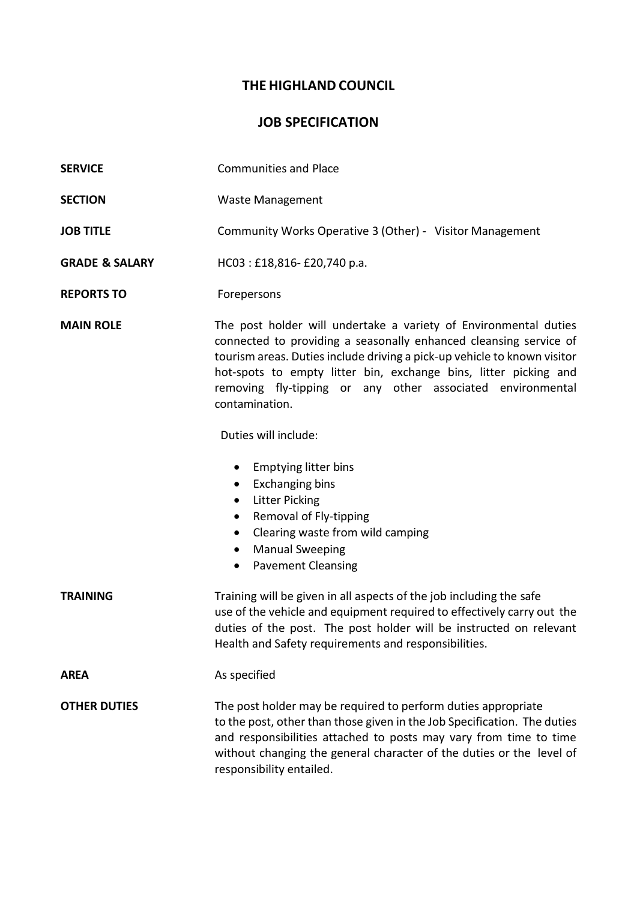## **THE HIGHLAND COUNCIL**

## **JOB SPECIFICATION**

- **SERVICE** Communities and Place
- **SECTION** Waste Management
- **JOB TITLE** Community Works Operative 3 (Other) Visitor Management
- **GRADE & SALARY** HC03 : £18,816- £20,740 p.a.
- **REPORTS TO** Forepersons

**MAIN ROLE** The post holder will undertake a variety of Environmental duties connected to providing a seasonally enhanced cleansing service of tourism areas. Duties include driving a pick-up vehicle to known visitor hot-spots to empty litter bin, exchange bins, litter picking and removing fly-tipping or any other associated environmental contamination.

Duties will include:

- Emptying litter bins
- Exchanging bins
- Litter Picking
- Removal of Fly-tipping
- Clearing waste from wild camping
- Manual Sweeping
- Pavement Cleansing

**TRAINING** Training will be given in all aspects of the job including the safe use of the vehicle and equipment required to effectively carry out the duties of the post. The post holder will be instructed on relevant Health and Safety requirements and responsibilities. **AREA** As specified

**OTHER DUTIES** The post holder may be required to perform duties appropriate to the post, other than those given in the Job Specification. The duties and responsibilities attached to posts may vary from time to time without changing the general character of the duties or the level of responsibility entailed.